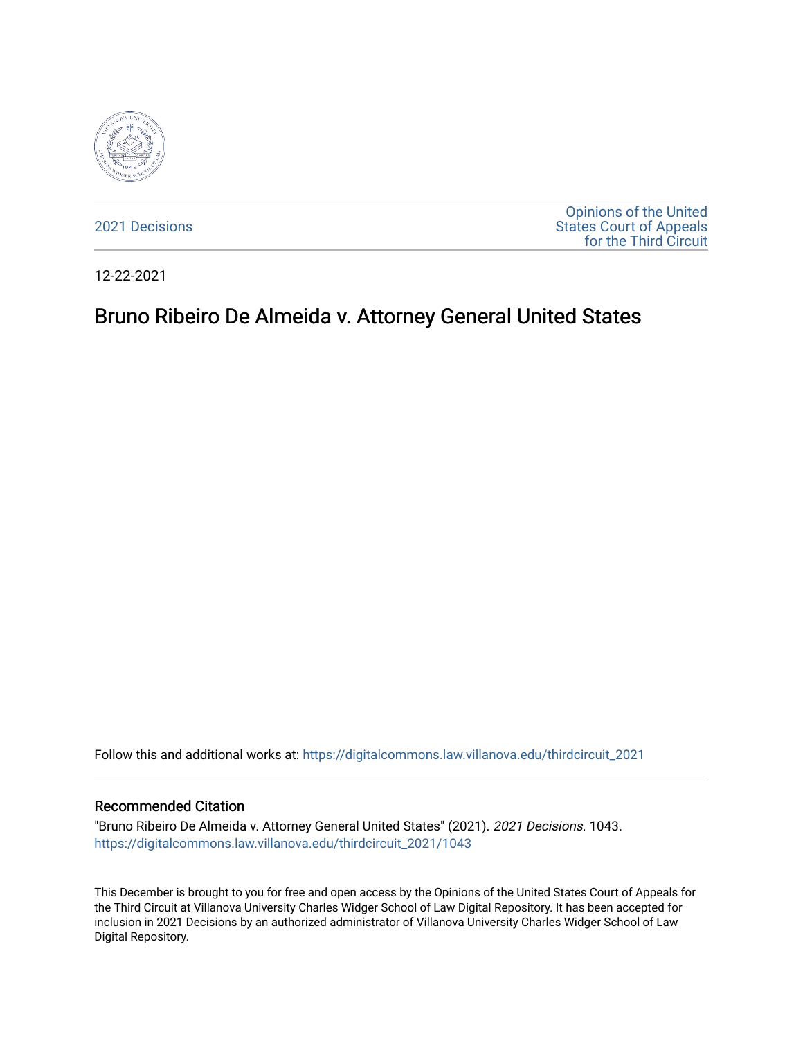

[2021 Decisions](https://digitalcommons.law.villanova.edu/thirdcircuit_2021)

[Opinions of the United](https://digitalcommons.law.villanova.edu/thirdcircuit)  [States Court of Appeals](https://digitalcommons.law.villanova.edu/thirdcircuit)  [for the Third Circuit](https://digitalcommons.law.villanova.edu/thirdcircuit) 

12-22-2021

# Bruno Ribeiro De Almeida v. Attorney General United States

Follow this and additional works at: [https://digitalcommons.law.villanova.edu/thirdcircuit\\_2021](https://digitalcommons.law.villanova.edu/thirdcircuit_2021?utm_source=digitalcommons.law.villanova.edu%2Fthirdcircuit_2021%2F1043&utm_medium=PDF&utm_campaign=PDFCoverPages) 

### Recommended Citation

"Bruno Ribeiro De Almeida v. Attorney General United States" (2021). 2021 Decisions. 1043. [https://digitalcommons.law.villanova.edu/thirdcircuit\\_2021/1043](https://digitalcommons.law.villanova.edu/thirdcircuit_2021/1043?utm_source=digitalcommons.law.villanova.edu%2Fthirdcircuit_2021%2F1043&utm_medium=PDF&utm_campaign=PDFCoverPages) 

This December is brought to you for free and open access by the Opinions of the United States Court of Appeals for the Third Circuit at Villanova University Charles Widger School of Law Digital Repository. It has been accepted for inclusion in 2021 Decisions by an authorized administrator of Villanova University Charles Widger School of Law Digital Repository.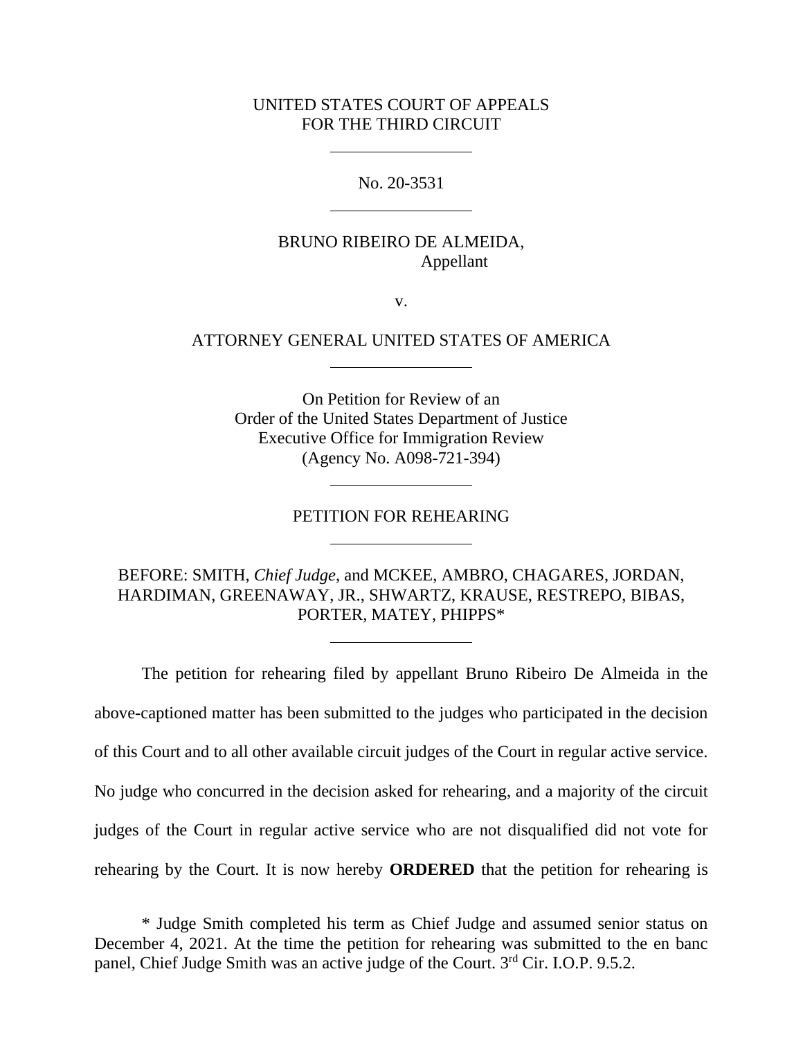## UNITED STATES COURT OF APPEALS FOR THE THIRD CIRCUIT

No. 20-3531

# BRUNO RIBEIRO DE ALMEIDA, Appellant

v.

## ATTORNEY GENERAL UNITED STATES OF AMERICA

On Petition for Review of an Order of the United States Department of Justice Executive Office for Immigration Review (Agency No. A098-721-394)

#### PETITION FOR REHEARING

BEFORE: SMITH, *Chief Judge*, and MCKEE, AMBRO, CHAGARES, JORDAN, HARDIMAN, GREENAWAY, JR., SHWARTZ, KRAUSE, RESTREPO, BIBAS, PORTER, MATEY, PHIPPS\*

The petition for rehearing filed by appellant Bruno Ribeiro De Almeida in the above-captioned matter has been submitted to the judges who participated in the decision of this Court and to all other available circuit judges of the Court in regular active service. No judge who concurred in the decision asked for rehearing, and a majority of the circuit judges of the Court in regular active service who are not disqualified did not vote for rehearing by the Court. It is now hereby **ORDERED** that the petition for rehearing is

\* Judge Smith completed his term as Chief Judge and assumed senior status on December 4, 2021. At the time the petition for rehearing was submitted to the en banc panel, Chief Judge Smith was an active judge of the Court. 3rd Cir. I.O.P. 9.5.2.